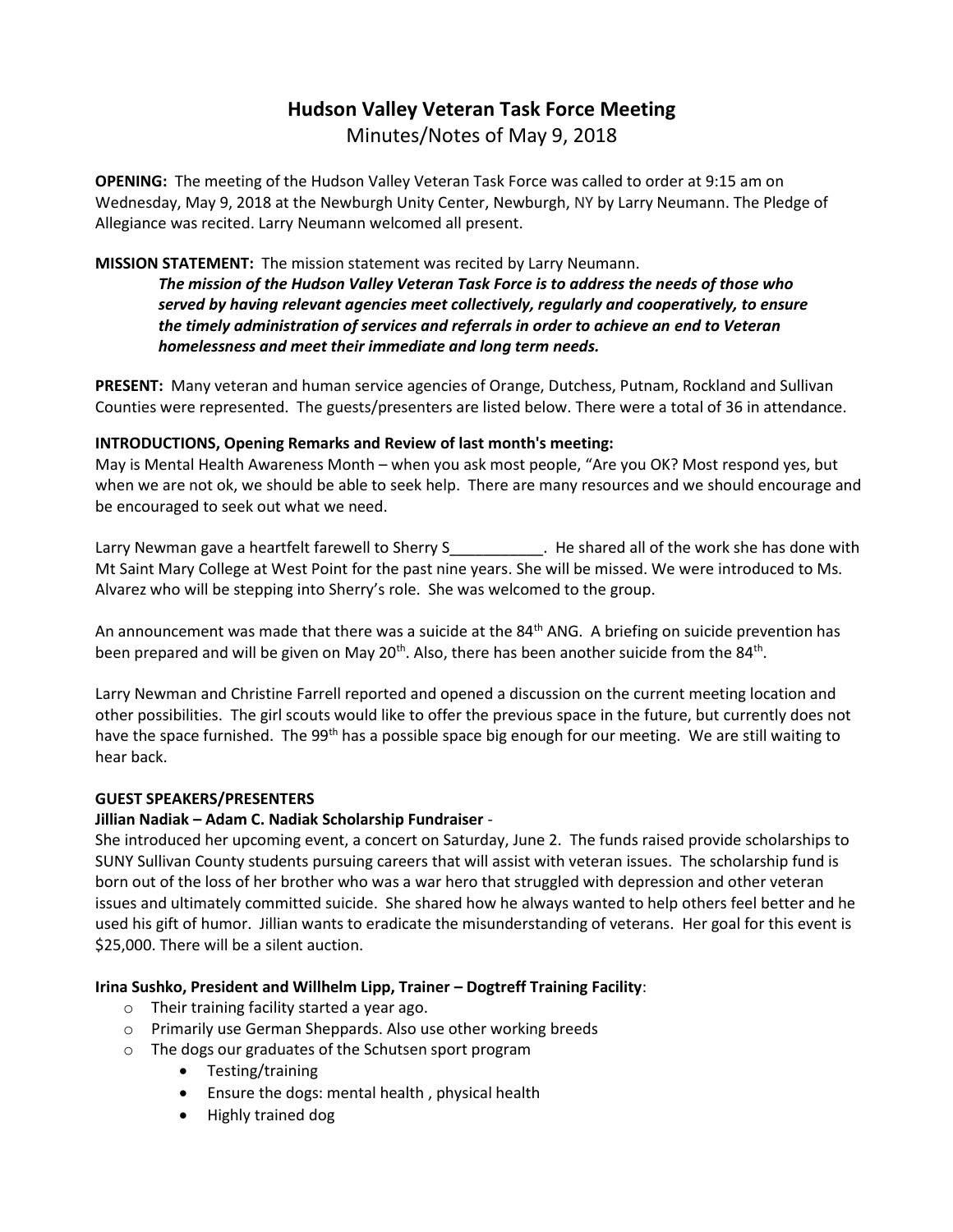# **Hudson Valley Veteran Task Force Meeting**  Minutes/Notes of May 9, 2018

**OPENING:** The meeting of the Hudson Valley Veteran Task Force was called to order at 9:15 am on Wednesday, May 9, 2018 at the Newburgh Unity Center, Newburgh, NY by Larry Neumann. The Pledge of Allegiance was recited. Larry Neumann welcomed all present.

# **MISSION STATEMENT:** The mission statement was recited by Larry Neumann.

*The mission of the Hudson Valley Veteran Task Force is to address the needs of those who served by having relevant agencies meet collectively, regularly and cooperatively, to ensure the timely administration of services and referrals in order to achieve an end to Veteran homelessness and meet their immediate and long term needs.* 

**PRESENT:** Many veteran and human service agencies of Orange, Dutchess, Putnam, Rockland and Sullivan Counties were represented. The guests/presenters are listed below. There were a total of 36 in attendance.

# **INTRODUCTIONS, Opening Remarks and Review of last month's meeting:**

May is Mental Health Awareness Month – when you ask most people, "Are you OK? Most respond yes, but when we are not ok, we should be able to seek help. There are many resources and we should encourage and be encouraged to seek out what we need.

Larry Newman gave a heartfelt farewell to Sherry S<sub>parr</sub> 1 and the shared all of the work she has done with Mt Saint Mary College at West Point for the past nine years. She will be missed. We were introduced to Ms. Alvarez who will be stepping into Sherry's role. She was welcomed to the group.

An announcement was made that there was a suicide at the 84<sup>th</sup> ANG. A briefing on suicide prevention has been prepared and will be given on May 20<sup>th</sup>. Also, there has been another suicide from the 84<sup>th</sup>.

Larry Newman and Christine Farrell reported and opened a discussion on the current meeting location and other possibilities. The girl scouts would like to offer the previous space in the future, but currently does not have the space furnished. The 99<sup>th</sup> has a possible space big enough for our meeting. We are still waiting to hear back.

### **GUEST SPEAKERS/PRESENTERS**

### **Jillian Nadiak – Adam C. Nadiak Scholarship Fundraiser** -

She introduced her upcoming event, a concert on Saturday, June 2. The funds raised provide scholarships to SUNY Sullivan County students pursuing careers that will assist with veteran issues. The scholarship fund is born out of the loss of her brother who was a war hero that struggled with depression and other veteran issues and ultimately committed suicide. She shared how he always wanted to help others feel better and he used his gift of humor. Jillian wants to eradicate the misunderstanding of veterans. Her goal for this event is \$25,000. There will be a silent auction.

### **Irina Sushko, President and Willhelm Lipp, Trainer – Dogtreff Training Facility**:

- o Their training facility started a year ago.
- o Primarily use German Sheppards. Also use other working breeds
- o The dogs our graduates of the Schutsen sport program
	- Testing/training
	- Ensure the dogs: mental health , physical health
	- Highly trained dog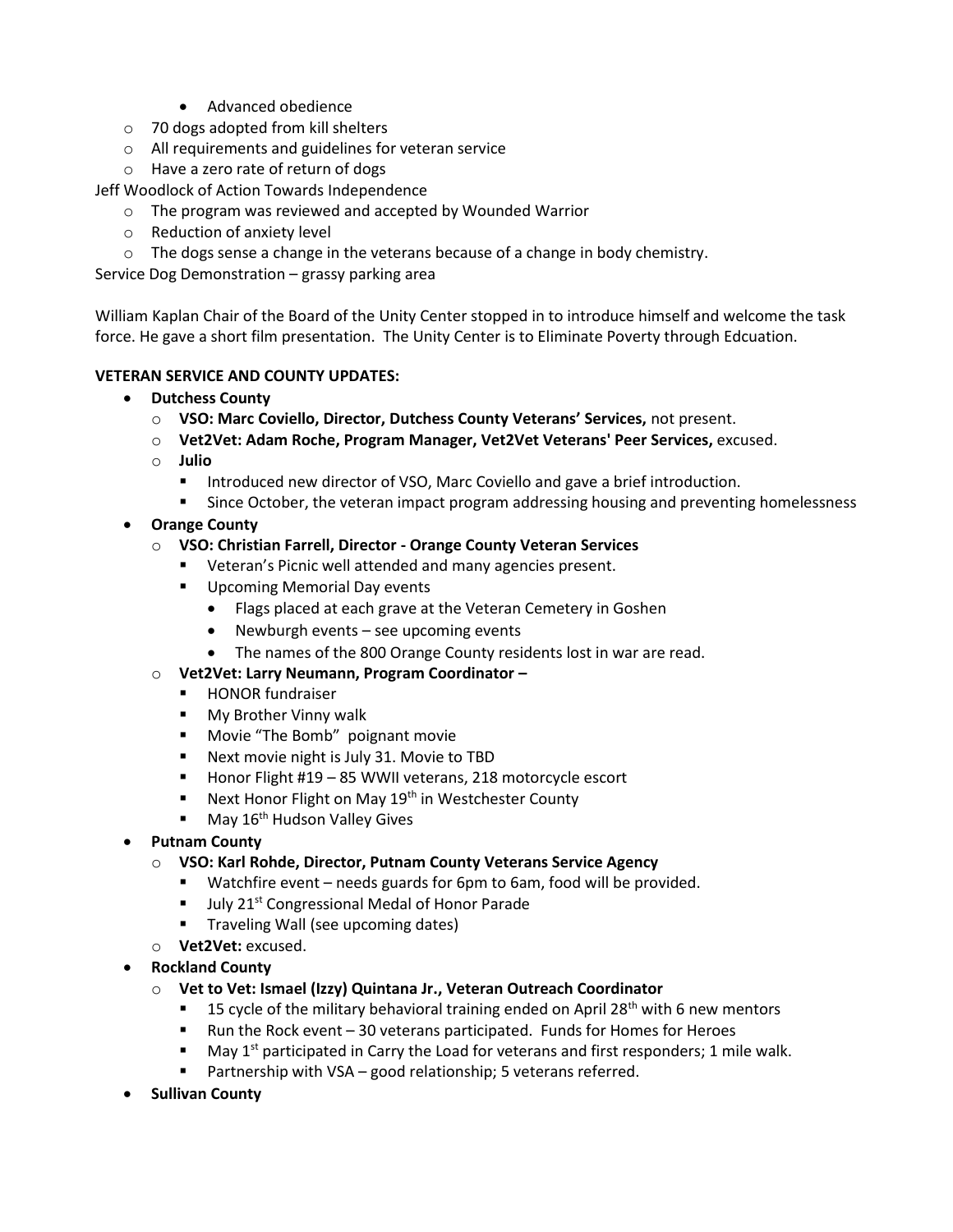- Advanced obedience
- o 70 dogs adopted from kill shelters
- o All requirements and guidelines for veteran service
- o Have a zero rate of return of dogs

Jeff Woodlock of Action Towards Independence

- o The program was reviewed and accepted by Wounded Warrior
- o Reduction of anxiety level
- $\circ$  The dogs sense a change in the veterans because of a change in body chemistry.

Service Dog Demonstration – grassy parking area

William Kaplan Chair of the Board of the Unity Center stopped in to introduce himself and welcome the task force. He gave a short film presentation. The Unity Center is to Eliminate Poverty through Edcuation.

# **VETERAN SERVICE AND COUNTY UPDATES:**

- **Dutchess County**
	- o **VSO: Marc Coviello, Director, Dutchess County Veterans' Services,** not present.
	- o **Vet2Vet: Adam Roche, Program Manager, Vet2Vet Veterans' Peer Services,** excused.
	- o **Julio** 
		- **■** Introduced new director of VSO, Marc Coviello and gave a brief introduction.
		- Since October, the veteran impact program addressing housing and preventing homelessness
- **Orange County**
	- o **VSO: Christian Farrell, Director - Orange County Veteran Services**
		- Veteran's Picnic well attended and many agencies present.
		- Upcoming Memorial Day events
			- Flags placed at each grave at the Veteran Cemetery in Goshen
			- Newburgh events see upcoming events
			- The names of the 800 Orange County residents lost in war are read.
	- o **Vet2Vet: Larry Neumann, Program Coordinator –**
		- HONOR fundraiser
		- My Brother Vinny walk
		- Movie "The Bomb" poignant movie
		- Next movie night is July 31. Movie to TBD
		- Honor Flight #19 85 WWII veterans, 218 motorcycle escort
		- Next Honor Flight on May 19<sup>th</sup> in Westchester County
		- $\blacksquare$  May 16<sup>th</sup> Hudson Valley Gives
- **Putnam County**
	- o **VSO: Karl Rohde, Director, Putnam County Veterans Service Agency**
		- Watchfire event needs guards for 6pm to 6am, food will be provided.
		- July 21<sup>st</sup> Congressional Medal of Honor Parade
		- **■** Traveling Wall (see upcoming dates)
	- o **Vet2Vet:** excused.
- **Rockland County**
	- o **Vet to Vet: Ismael (Izzy) Quintana Jr., Veteran Outreach Coordinator**
		- **■** 15 cycle of the military behavioral training ended on April 28<sup>th</sup> with 6 new mentors
		- Run the Rock event 30 veterans participated. Funds for Homes for Heroes
		- May  $1<sup>st</sup>$  participated in Carry the Load for veterans and first responders; 1 mile walk.
		- Partnership with VSA good relationship; 5 veterans referred.
- **Sullivan County**